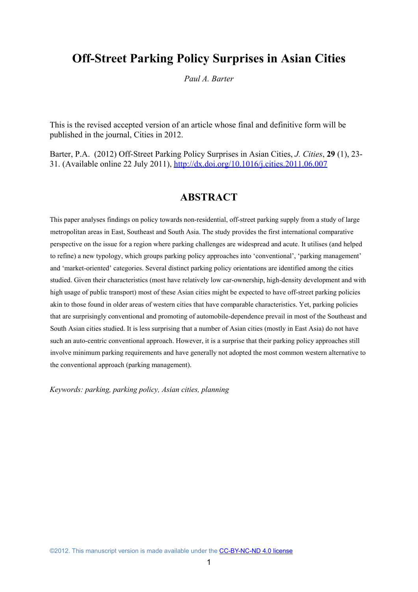# **Off-Street Parking Policy Surprises in Asian Cities**

*Paul A. Barter*

This is the revised accepted version of an article whose final and definitive form will be published in the journal, Cities in 2012.

Barter, P.A. (2012) Off-Street Parking Policy Surprises in Asian Cities, *J. Cities*, **29** (1), 23- 31. (Available online 22 July 2011), <http://dx.doi.org/10.1016/j.cities.2011.06.007>

## **ABSTRACT**

This paper analyses findings on policy towards non-residential, off-street parking supply from a study of large metropolitan areas in East, Southeast and South Asia. The study provides the first international comparative perspective on the issue for a region where parking challenges are widespread and acute. It utilises (and helped to refine) a new typology, which groups parking policy approaches into 'conventional', 'parking management' and 'market-oriented' categories. Several distinct parking policy orientations are identified among the cities studied. Given their characteristics (most have relatively low car-ownership, high-density development and with high usage of public transport) most of these Asian cities might be expected to have off-street parking policies akin to those found in older areas of western cities that have comparable characteristics. Yet, parking policies that are surprisingly conventional and promoting of automobile-dependence prevail in most of the Southeast and South Asian cities studied. It is less surprising that a number of Asian cities (mostly in East Asia) do not have such an auto-centric conventional approach. However, it is a surprise that their parking policy approaches still involve minimum parking requirements and have generally not adopted the most common western alternative to the conventional approach (parking management).

*Keywords: parking, parking policy, Asian cities, planning*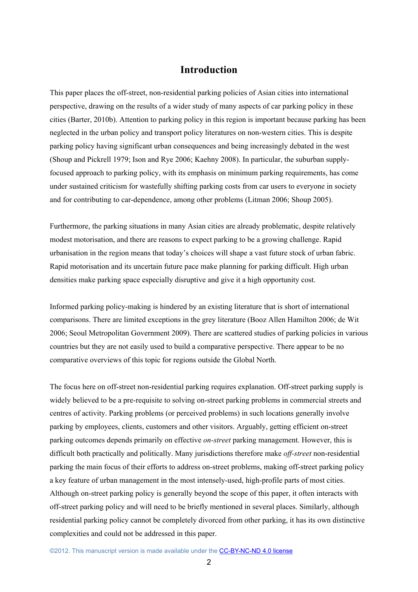### **Introduction**

This paper places the off-street, non-residential parking policies of Asian cities into international perspective, drawing on the results of a wider study of many aspects of car parking policy in these cities (Barter, 2010b). Attention to parking policy in this region is important because parking has been neglected in the urban policy and transport policy literatures on non-western cities. This is despite parking policy having significant urban consequences and being increasingly debated in the west (Shoup and Pickrell 1979; Ison and Rye 2006; Kaehny 2008). In particular, the suburban supplyfocused approach to parking policy, with its emphasis on minimum parking requirements, has come under sustained criticism for wastefully shifting parking costs from car users to everyone in society and for contributing to car-dependence, among other problems (Litman 2006; Shoup 2005).

Furthermore, the parking situations in many Asian cities are already problematic, despite relatively modest motorisation, and there are reasons to expect parking to be a growing challenge. Rapid urbanisation in the region means that today's choices will shape a vast future stock of urban fabric. Rapid motorisation and its uncertain future pace make planning for parking difficult. High urban densities make parking space especially disruptive and give it a high opportunity cost.

Informed parking policy-making is hindered by an existing literature that is short of international comparisons. There are limited exceptions in the grey literature (Booz Allen Hamilton 2006; de Wit 2006; Seoul Metropolitan Government 2009). There are scattered studies of parking policies in various countries but they are not easily used to build a comparative perspective. There appear to be no comparative overviews of this topic for regions outside the Global North.

The focus here on off-street non-residential parking requires explanation. Off-street parking supply is widely believed to be a pre-requisite to solving on-street parking problems in commercial streets and centres of activity. Parking problems (or perceived problems) in such locations generally involve parking by employees, clients, customers and other visitors. Arguably, getting efficient on-street parking outcomes depends primarily on effective *on-street* parking management. However, this is difficult both practically and politically. Many jurisdictions therefore make *off-street* non-residential parking the main focus of their efforts to address on-street problems, making off-street parking policy a key feature of urban management in the most intensely-used, high-profile parts of most cities. Although on-street parking policy is generally beyond the scope of this paper, it often interacts with off-street parking policy and will need to be briefly mentioned in several places. Similarly, although residential parking policy cannot be completely divorced from other parking, it has its own distinctive complexities and could not be addressed in this paper.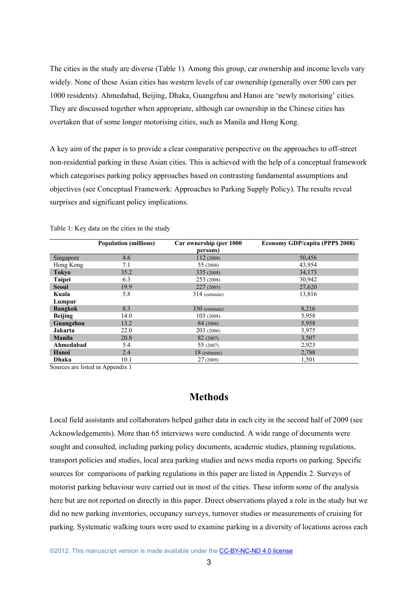The cities in the study are diverse (Table 1). Among this group, car ownership and income levels vary widely. None of these Asian cities has western levels of car ownership (generally over 500 cars per 1000 residents). Ahmedabad, Beijing, Dhaka, Guangzhou and Hanoi are 'newly motorising' cities. They are discussed together when appropriate, although car ownership in the Chinese cities has overtaken that of some longer motorising cities, such as Manila and Hong Kong.

A key aim of the paper is to provide a clear comparative perspective on the approaches to off-street non-residential parking in these Asian cities. This is achieved with the help of a conceptual framework which categorises parking policy approaches based on contrasting fundamental assumptions and objectives (see Conceptual Framework: Approaches to Parking Supply Policy). The results reveal surprises and significant policy implications.

|                | <b>Population (millions)</b> | Car ownership (per 1000 | <b>Economy GDP/capita (PPP\$ 2008)</b> |
|----------------|------------------------------|-------------------------|----------------------------------------|
|                |                              | persons)                |                                        |
| Singapore      | 4.6                          | 112(2008)               | 50,456                                 |
| Hong Kong      | 7.1                          | 55 (2008)               | 43,954                                 |
| <b>Tokyo</b>   | 35.2                         | 335 (2008).             | 34,173                                 |
| <b>Taipei</b>  | 6.3                          | 253 (2008)              | 30,942                                 |
| <b>Seoul</b>   | 19.9                         | 227(2005)               | 27,620                                 |
| Kuala          | 5.8                          | $314$ (estimate)        | 13,816                                 |
| Lumpur         |                              |                         |                                        |
| <b>Bangkok</b> | 8.3                          | 330 (estimate)          | 8,216                                  |
| <b>Beijing</b> | 14.0                         | 103(2008)               | 5,958                                  |
| Guangzhou      | 13.2                         | 84 (2008)               | 5,958                                  |
| <b>Jakarta</b> | 22.0                         | 203(2006)               | 3,975                                  |
| <b>Manila</b>  | 20.8                         | 82 (2007)               | 3,507                                  |
| Ahmedabad      | 5.4                          | 55 (2007)               | 2,923                                  |
| Hanoi          | 2.4                          | 18 (estimate)           | 2,788                                  |
| Dhaka          | 10.1                         | 27(2009)                | 1,501                                  |

Table 1: Key data on the cities in the study

Sources are listed in Appendix 1

## **Methods**

Local field assistants and collaborators helped gather data in each city in the second half of 2009 (see Acknowledgements). More than 65 interviews were conducted. A wide range of documents were sought and consulted, including parking policy documents, academic studies, planning regulations, transport policies and studies, local area parking studies and news media reports on parking. Specific sources for comparisons of parking regulations in this paper are listed in Appendix 2. Surveys of motorist parking behaviour were carried out in most of the cities. These inform some of the analysis here but are not reported on directly in this paper. Direct observations played a role in the study but we did no new parking inventories, occupancy surveys, turnover studies or measurements of cruising for parking. Systematic walking tours were used to examine parking in a diversity of locations across each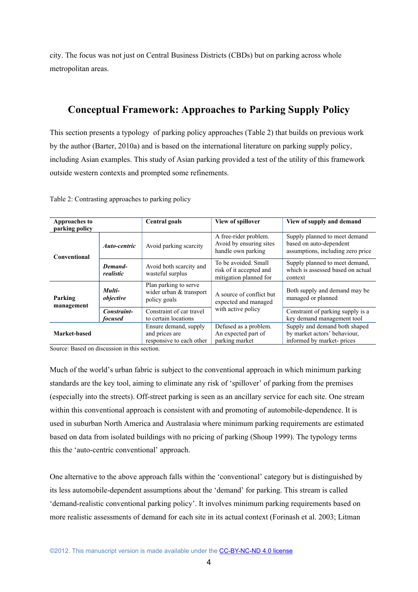city. The focus was not just on Central Business Districts (CBDs) but on parking across whole metropolitan areas.

## **Conceptual Framework: Approaches to Parking Supply Policy**

This section presents a typology of parking policy approaches (Table 2) that builds on previous work by the author (Barter, 2010a) and is based on the international literature on parking supply policy, including Asian examples. This study of Asian parking provided a test of the utility of this framework outside western contexts and prompted some refinements.

| Approaches to<br>parking policy |                        | <b>Central goals</b>                                                | View of spillover                                                         | View of supply and demand                                                                     |
|---------------------------------|------------------------|---------------------------------------------------------------------|---------------------------------------------------------------------------|-----------------------------------------------------------------------------------------------|
| Conventional                    | Auto-centric           | Avoid parking scarcity                                              | A free-rider problem.<br>Avoid by ensuring sites<br>handle own parking    | Supply planned to meet demand<br>based on auto-dependent<br>assumptions, including zero price |
|                                 | Demand-<br>realistic   | Avoid both scarcity and<br>wasteful surplus                         | To be avoided. Small<br>risk of it accepted and<br>mitigation planned for | Supply planned to meet demand,<br>which is assessed based on actual<br>context                |
| Parking<br>management           | Multi-<br>objective    | Plan parking to serve<br>wider urban & transport<br>policy goals    | A source of conflict but<br>expected and managed                          | Both supply and demand may be<br>managed or planned                                           |
|                                 | Constraint-<br>focused | Constraint of car travel<br>to certain locations                    | with active policy                                                        | Constraint of parking supply is a<br>key demand management tool                               |
| Market-based                    |                        | Ensure demand, supply<br>and prices are<br>responsive to each other | Defused as a problem.<br>An expected part of<br>parking market            | Supply and demand both shaped<br>by market actors' behaviour,<br>informed by market-prices    |

Table 2: Contrasting approaches to parking policy

Source: Based on discussion in this section.

Much of the world's urban fabric is subject to the conventional approach in which minimum parking standards are the key tool, aiming to eliminate any risk of 'spillover' of parking from the premises (especially into the streets). Off-street parking is seen as an ancillary service for each site. One stream within this conventional approach is consistent with and promoting of automobile-dependence. It is used in suburban North America and Australasia where minimum parking requirements are estimated based on data from isolated buildings with no pricing of parking (Shoup 1999). The typology terms this the 'auto-centric conventional' approach.

One alternative to the above approach falls within the 'conventional' category but is distinguished by its less automobile-dependent assumptions about the 'demand' for parking. This stream is called 'demand-realistic conventional parking policy'. It involves minimum parking requirements based on more realistic assessments of demand for each site in its actual context (Forinash et al. 2003; Litman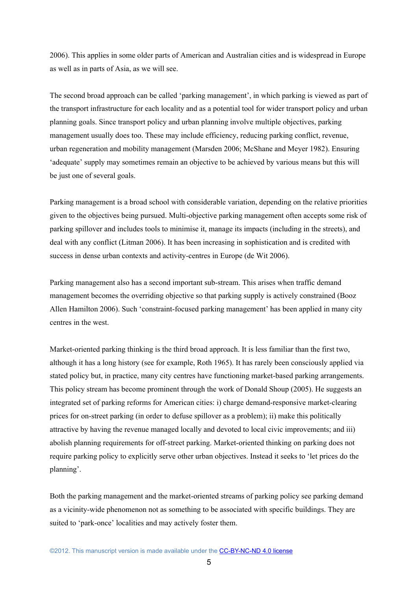2006). This applies in some older parts of American and Australian cities and is widespread in Europe as well as in parts of Asia, as we will see.

The second broad approach can be called 'parking management', in which parking is viewed as part of the transport infrastructure for each locality and as a potential tool for wider transport policy and urban planning goals. Since transport policy and urban planning involve multiple objectives, parking management usually does too. These may include efficiency, reducing parking conflict, revenue, urban regeneration and mobility management (Marsden 2006; McShane and Meyer 1982). Ensuring 'adequate' supply may sometimes remain an objective to be achieved by various means but this will be just one of several goals.

Parking management is a broad school with considerable variation, depending on the relative priorities given to the objectives being pursued. Multi-objective parking management often accepts some risk of parking spillover and includes tools to minimise it, manage its impacts (including in the streets), and deal with any conflict (Litman 2006). It has been increasing in sophistication and is credited with success in dense urban contexts and activity-centres in Europe (de Wit 2006).

Parking management also has a second important sub-stream. This arises when traffic demand management becomes the overriding objective so that parking supply is actively constrained (Booz Allen Hamilton 2006). Such 'constraint-focused parking management' has been applied in many city centres in the west.

Market-oriented parking thinking is the third broad approach. It is less familiar than the first two, although it has a long history (see for example, Roth 1965). It has rarely been consciously applied via stated policy but, in practice, many city centres have functioning market-based parking arrangements. This policy stream has become prominent through the work of Donald Shoup (2005). He suggests an integrated set of parking reforms for American cities: i) charge demand-responsive market-clearing prices for on-street parking (in order to defuse spillover as a problem); ii) make this politically attractive by having the revenue managed locally and devoted to local civic improvements; and iii) abolish planning requirements for off-street parking. Market-oriented thinking on parking does not require parking policy to explicitly serve other urban objectives. Instead it seeks to 'let prices do the planning'.

Both the parking management and the market-oriented streams of parking policy see parking demand as a vicinity-wide phenomenon not as something to be associated with specific buildings. They are suited to 'park-once' localities and may actively foster them.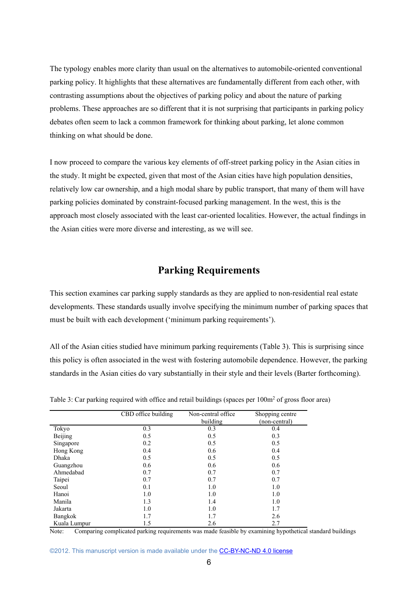The typology enables more clarity than usual on the alternatives to automobile-oriented conventional parking policy. It highlights that these alternatives are fundamentally different from each other, with contrasting assumptions about the objectives of parking policy and about the nature of parking problems. These approaches are so different that it is not surprising that participants in parking policy debates often seem to lack a common framework for thinking about parking, let alone common thinking on what should be done.

I now proceed to compare the various key elements of off-street parking policy in the Asian cities in the study. It might be expected, given that most of the Asian cities have high population densities, relatively low car ownership, and a high modal share by public transport, that many of them will have parking policies dominated by constraint-focused parking management. In the west, this is the approach most closely associated with the least car-oriented localities. However, the actual findings in the Asian cities were more diverse and interesting, as we will see.

### **Parking Requirements**

This section examines car parking supply standards as they are applied to non-residential real estate developments. These standards usually involve specifying the minimum number of parking spaces that must be built with each development ('minimum parking requirements').

All of the Asian cities studied have minimum parking requirements (Table 3). This is surprising since this policy is often associated in the west with fostering automobile dependence. However, the parking standards in the Asian cities do vary substantially in their style and their levels (Barter forthcoming).

|              | CBD office building | Non-central office<br>building | Shopping centre<br>(non-central) |
|--------------|---------------------|--------------------------------|----------------------------------|
| Tokyo        | 0.3                 | 0.3                            | 0.4                              |
| Beijing      | 0.5                 | 0.5                            | 0.3                              |
| Singapore    | 0.2                 | 0.5                            | 0.5                              |
| Hong Kong    | 0.4                 | 0.6                            | 0.4                              |
| Dhaka        | 0.5                 | 0.5                            | 0.5                              |
| Guangzhou    | 0.6                 | 0.6                            | 0.6                              |
| Ahmedabad    | 0.7                 | 0.7                            | 0.7                              |
| Taipei       | 0.7                 | 0.7                            | 0.7                              |
| Seoul        | 0.1                 | 1.0                            | 1.0                              |
| Hanoi        | 1.0                 | 1.0                            | 1.0                              |
| Manila       | 1.3                 | 1.4                            | 1.0                              |
| Jakarta      | 1.0                 | 1.0                            | 1.7                              |
| Bangkok      | 1.7                 | 1.7                            | 2.6                              |
| Kuala Lumpur | 1.5                 | 2.6                            | 2.7                              |

Table 3: Car parking required with office and retail buildings (spaces per 100m<sup>2</sup> of gross floor area)

Note: Comparing complicated parking requirements was made feasible by examining hypothetical standard buildings

©2012. This manuscript version is made available under the [CC-BY-NC-ND](http://creativecommons.org/licenses/by-nc-nd/4.0/) 4.0 license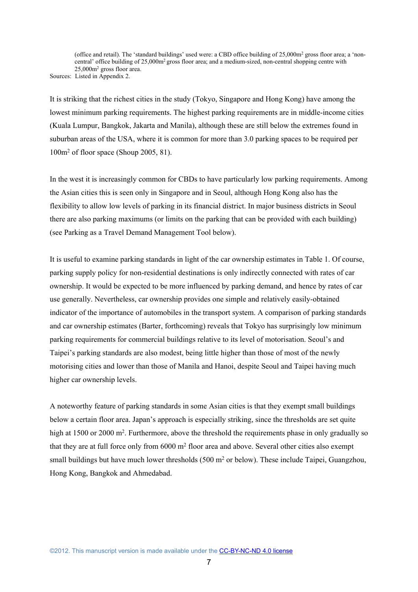(office and retail). The 'standard buildings' used were: a CBD office building of 25,000m<sup>2</sup> gross floor area; a 'noncentral' office building of 25,000m<sup>2</sup> gross floor area; and a medium-sized, non-central shopping centre with 25,000m<sup>2</sup> gross floor area.

Sources: Listed in Appendix 2.

It is striking that the richest cities in the study (Tokyo, Singapore and Hong Kong) have among the lowest minimum parking requirements. The highest parking requirements are in middle-income cities (Kuala Lumpur, Bangkok, Jakarta and Manila), although these are still below the extremes found in suburban areas of the USA, where it is common for more than 3.0 parking spaces to be required per 100m<sup>2</sup> of floor space (Shoup 2005, 81).

In the west it is increasingly common for CBDs to have particularly low parking requirements. Among the Asian cities this is seen only in Singapore and in Seoul, although Hong Kong also has the flexibility to allow low levels of parking in its financial district. In major business districts in Seoul there are also parking maximums (or limits on the parking that can be provided with each building) (see Parking as a Travel Demand Management Tool below).

It is useful to examine parking standards in light of the car ownership estimates in Table 1. Of course, parking supply policy for non-residential destinations is only indirectly connected with rates of car ownership. It would be expected to be more influenced by parking demand, and hence by rates of car use generally. Nevertheless, car ownership provides one simple and relatively easily-obtained indicator of the importance of automobiles in the transport system. A comparison of parking standards and car ownership estimates (Barter, forthcoming) reveals that Tokyo has surprisingly low minimum parking requirements for commercial buildings relative to its level of motorisation. Seoul's and Taipei's parking standards are also modest, being little higher than those of most of the newly motorising cities and lower than those of Manila and Hanoi, despite Seoul and Taipei having much higher car ownership levels.

A noteworthy feature of parking standards in some Asian cities is that they exempt small buildings below a certain floor area. Japan's approach is especially striking, since the thresholds are set quite high at 1500 or 2000 m<sup>2</sup>. Furthermore, above the threshold the requirements phase in only gradually so that they are at full force only from 6000 m<sup>2</sup> floor area and above. Several other cities also exempt small buildings but have much lower thresholds  $(500 \text{ m}^2 \text{ or below})$ . These include Taipei, Guangzhou, Hong Kong, Bangkok and Ahmedabad.

7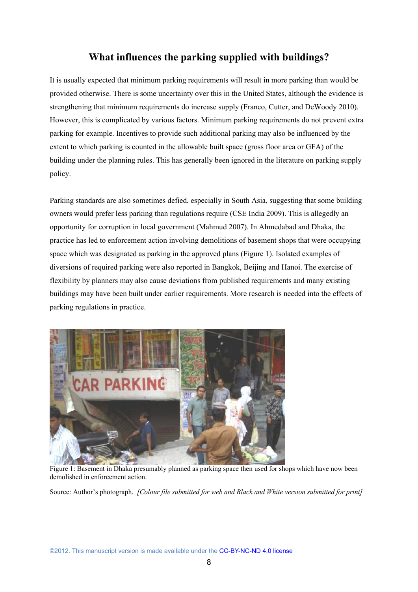## **What influences the parking supplied with buildings?**

It is usually expected that minimum parking requirements will result in more parking than would be provided otherwise. There is some uncertainty over this in the United States, although the evidence is strengthening that minimum requirements do increase supply (Franco, Cutter, and DeWoody 2010). However, this is complicated by various factors. Minimum parking requirements do not prevent extra parking for example. Incentives to provide such additional parking may also be influenced by the extent to which parking is counted in the allowable built space (gross floor area or GFA) of the building under the planning rules. This has generally been ignored in the literature on parking supply policy.

Parking standards are also sometimes defied, especially in South Asia, suggesting that some building owners would prefer less parking than regulations require (CSE India 2009). This is allegedly an opportunity for corruption in local government (Mahmud 2007). In Ahmedabad and Dhaka, the practice has led to enforcement action involving demolitions of basement shops that were occupying space which was designated as parking in the approved plans (Figure 1). Isolated examples of diversions of required parking were also reported in Bangkok, Beijing and Hanoi. The exercise of flexibility by planners may also cause deviations from published requirements and many existing buildings may have been built under earlier requirements. More research is needed into the effects of parking regulations in practice.



Figure 1: Basement in Dhaka presumably planned as parking space then used for shops which have now been demolished in enforcement action.

Source: Author's photograph. *[Colour file submitted for web and Black and White version submitted for print]*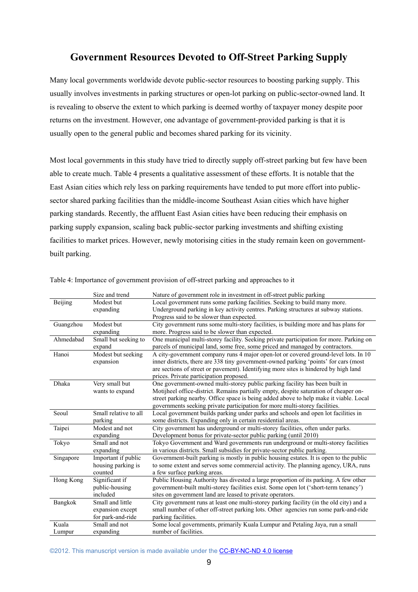## **Government Resources Devoted to Off-Street Parking Supply**

Many local governments worldwide devote public-sector resources to boosting parking supply. This usually involves investments in parking structures or open-lot parking on public-sector-owned land. It is revealing to observe the extent to which parking is deemed worthy of taxpayer money despite poor returns on the investment. However, one advantage of government-provided parking is that it is usually open to the general public and becomes shared parking for its vicinity.

Most local governments in this study have tried to directly supply off-street parking but few have been able to create much. Table 4 presents a qualitative assessment of these efforts. It is notable that the East Asian cities which rely less on parking requirements have tended to put more effort into publicsector shared parking facilities than the middle-income Southeast Asian cities which have higher parking standards. Recently, the affluent East Asian cities have been reducing their emphasis on parking supply expansion, scaling back public-sector parking investments and shifting existing facilities to market prices. However, newly motorising cities in the study remain keen on governmentbuilt parking.

|           | Size and trend        | Nature of government role in investment in off-street public parking                    |
|-----------|-----------------------|-----------------------------------------------------------------------------------------|
| Beijing   | Modest but            | Local government runs some parking facilities. Seeking to build many more.              |
|           | expanding             | Underground parking in key activity centres. Parking structures at subway stations.     |
|           |                       | Progress said to be slower than expected.                                               |
| Guangzhou | Modest but            | City government runs some multi-story facilities, is building more and has plans for    |
|           | expanding             | more. Progress said to be slower than expected.                                         |
| Ahmedabad | Small but seeking to  | One municipal multi-storey facility. Seeking private participation for more. Parking on |
|           | expand                | parcels of municipal land, some free, some priced and managed by contractors.           |
| Hanoi     | Modest but seeking    | A city-government company runs 4 major open-lot or covered ground-level lots. In 10     |
|           | expansion             | inner districts, there are 338 tiny government-owned parking 'points' for cars (most    |
|           |                       | are sections of street or pavement). Identifying more sites is hindered by high land    |
|           |                       | prices. Private participation proposed.                                                 |
| Dhaka     | Very small but        | One government-owned multi-storey public parking facility has been built in             |
|           | wants to expand       | Motijheel office-district. Remains partially empty, despite saturation of cheaper on-   |
|           |                       | street parking nearby. Office space is being added above to help make it viable. Local  |
|           |                       | governments seeking private participation for more multi-storey facilities.             |
| Seoul     | Small relative to all | Local government builds parking under parks and schools and open lot facilities in      |
|           | parking               | some districts. Expanding only in certain residential areas.                            |
| Taipei    | Modest and not        | City government has underground or multi-storey facilities, often under parks.          |
|           | expanding             | Development bonus for private-sector public parking (until 2010)                        |
| Tokyo     | Small and not         | Tokyo Government and Ward governments run underground or multi-storey facilities        |
|           | expanding             | in various districts. Small subsidies for private-sector public parking.                |
| Singapore | Important if public   | Government-built parking is mostly in public housing estates. It is open to the public  |
|           | housing parking is    | to some extent and serves some commercial activity. The planning agency, URA, runs      |
|           | counted               | a few surface parking areas.                                                            |
| Hong Kong | Significant if        | Public Housing Authority has divested a large proportion of its parking. A few other    |
|           | public-housing        | government-built multi-storey facilities exist. Some open lot ('short-term tenancy')    |
|           | included              | sites on government land are leased to private operators.                               |
| Bangkok   | Small and little      | City government runs at least one multi-storey parking facility (in the old city) and a |
|           | expansion except      | small number of other off-street parking lots. Other agencies run some park-and-ride    |
|           | for park-and-ride     | parking facilities.                                                                     |
| Kuala     | Small and not         | Some local governments, primarily Kuala Lumpur and Petaling Jaya, run a small           |
| Lumpur    | expanding             | number of facilities.                                                                   |

Table 4: Importance of government provision of off-street parking and approaches to it

©2012. This manuscript version is made available under the [CC-BY-NC-ND](http://creativecommons.org/licenses/by-nc-nd/4.0/) 4.0 license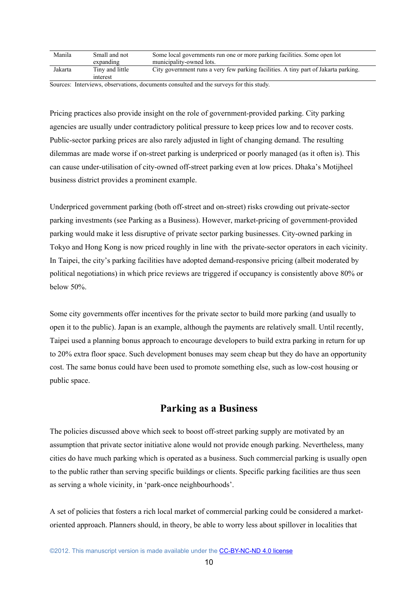| Manila  | Small and not<br>expanding  | Some local governments run one or more parking facilities. Some open lot<br>municipality-owned lots. |
|---------|-----------------------------|------------------------------------------------------------------------------------------------------|
| Jakarta | Tiny and little<br>interest | City government runs a very few parking facilities. A tiny part of Jakarta parking.                  |

Sources: Interviews, observations, documents consulted and the surveys for this study.

Pricing practices also provide insight on the role of government-provided parking. City parking agencies are usually under contradictory political pressure to keep prices low and to recover costs. Public-sector parking prices are also rarely adjusted in light of changing demand. The resulting dilemmas are made worse if on-street parking is underpriced or poorly managed (as it often is). This can cause under-utilisation of city-owned off-street parking even at low prices. Dhaka's Motijheel business district provides a prominent example.

Underpriced government parking (both off-street and on-street) risks crowding out private-sector parking investments (see Parking as a Business). However, market-pricing of government-provided parking would make it less disruptive of private sector parking businesses. City-owned parking in Tokyo and Hong Kong is now priced roughly in line with the private-sector operators in each vicinity. In Taipei, the city's parking facilities have adopted demand-responsive pricing (albeit moderated by political negotiations) in which price reviews are triggered if occupancy is consistently above 80% or below 50%.

Some city governments offer incentives for the private sector to build more parking (and usually to open it to the public). Japan is an example, although the payments are relatively small. Until recently, Taipei used a planning bonus approach to encourage developers to build extra parking in return for up to 20% extra floor space. Such development bonuses may seem cheap but they do have an opportunity cost. The same bonus could have been used to promote something else, such as low-cost housing or public space.

### **Parking as a Business**

The policies discussed above which seek to boost off-street parking supply are motivated by an assumption that private sector initiative alone would not provide enough parking. Nevertheless, many cities do have much parking which is operated as a business. Such commercial parking is usually open to the public rather than serving specific buildings or clients. Specific parking facilities are thus seen as serving a whole vicinity, in 'park-once neighbourhoods'.

A set of policies that fosters a rich local market of commercial parking could be considered a marketoriented approach. Planners should, in theory, be able to worry less about spillover in localities that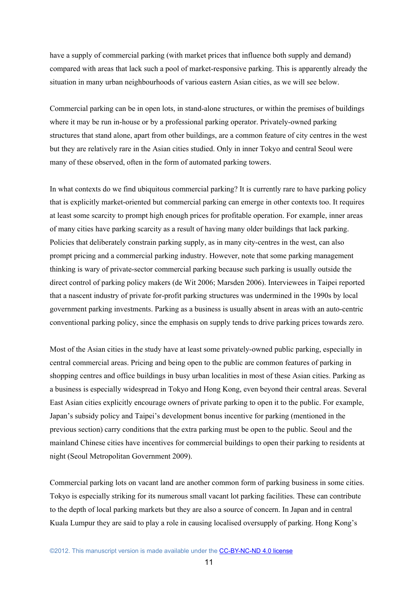have a supply of commercial parking (with market prices that influence both supply and demand) compared with areas that lack such a pool of market-responsive parking. This is apparently already the situation in many urban neighbourhoods of various eastern Asian cities, as we will see below.

Commercial parking can be in open lots, in stand-alone structures, or within the premises of buildings where it may be run in-house or by a professional parking operator. Privately-owned parking structures that stand alone, apart from other buildings, are a common feature of city centres in the west but they are relatively rare in the Asian cities studied. Only in inner Tokyo and central Seoul were many of these observed, often in the form of automated parking towers.

In what contexts do we find ubiquitous commercial parking? It is currently rare to have parking policy that is explicitly market-oriented but commercial parking can emerge in other contexts too. It requires at least some scarcity to prompt high enough prices for profitable operation. For example, inner areas of many cities have parking scarcity as a result of having many older buildings that lack parking. Policies that deliberately constrain parking supply, as in many city-centres in the west, can also prompt pricing and a commercial parking industry. However, note that some parking management thinking is wary of private-sector commercial parking because such parking is usually outside the direct control of parking policy makers (de Wit 2006; Marsden 2006). Interviewees in Taipei reported that a nascent industry of private for-profit parking structures was undermined in the 1990s by local government parking investments. Parking as a business is usually absent in areas with an auto-centric conventional parking policy, since the emphasis on supply tends to drive parking prices towards zero.

Most of the Asian cities in the study have at least some privately-owned public parking, especially in central commercial areas. Pricing and being open to the public are common features of parking in shopping centres and office buildings in busy urban localities in most of these Asian cities. Parking as a business is especially widespread in Tokyo and Hong Kong, even beyond their central areas. Several East Asian cities explicitly encourage owners of private parking to open it to the public. For example, Japan's subsidy policy and Taipei's development bonus incentive for parking (mentioned in the previous section) carry conditions that the extra parking must be open to the public. Seoul and the mainland Chinese cities have incentives for commercial buildings to open their parking to residents at night (Seoul Metropolitan Government 2009).

Commercial parking lots on vacant land are another common form of parking business in some cities. Tokyo is especially striking for its numerous small vacant lot parking facilities. These can contribute to the depth of local parking markets but they are also a source of concern. In Japan and in central Kuala Lumpur they are said to play a role in causing localised oversupply of parking. Hong Kong's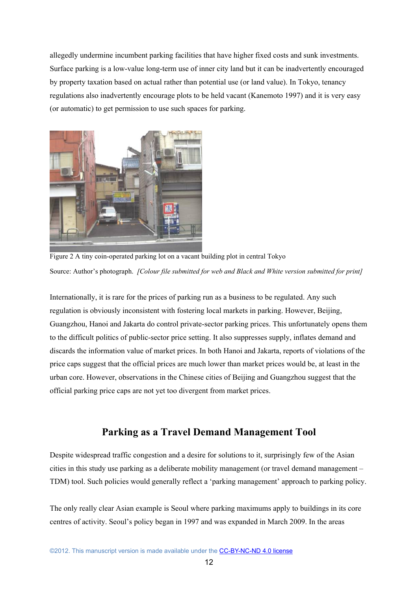allegedly undermine incumbent parking facilities that have higher fixed costs and sunk investments. Surface parking is a low-value long-term use of inner city land but it can be inadvertently encouraged by property taxation based on actual rather than potential use (or land value). In Tokyo, tenancy regulations also inadvertently encourage plots to be held vacant (Kanemoto 1997) and it is very easy (or automatic) to get permission to use such spaces for parking.



Figure 2 A tiny coin-operated parking lot on a vacant building plot in central Tokyo Source: Author's photograph. *[Colour file submitted for web and Black and White version submitted for print]*

Internationally, it is rare for the prices of parking run as a business to be regulated. Any such regulation is obviously inconsistent with fostering local markets in parking. However, Beijing, Guangzhou, Hanoi and Jakarta do control private-sector parking prices. This unfortunately opens them to the difficult politics of public-sector price setting. It also suppresses supply, inflates demand and discards the information value of market prices. In both Hanoi and Jakarta, reports of violations of the price caps suggest that the official prices are much lower than market prices would be, at least in the urban core. However, observations in the Chinese cities of Beijing and Guangzhou suggest that the official parking price caps are not yet too divergent from market prices.

## **Parking as a Travel Demand Management Tool**

Despite widespread traffic congestion and a desire for solutions to it, surprisingly few of the Asian cities in this study use parking as a deliberate mobility management (or travel demand management – TDM) tool. Such policies would generally reflect a 'parking management' approach to parking policy.

The only really clear Asian example is Seoul where parking maximums apply to buildings in its core centres of activity. Seoul's policy began in 1997 and was expanded in March 2009. In the areas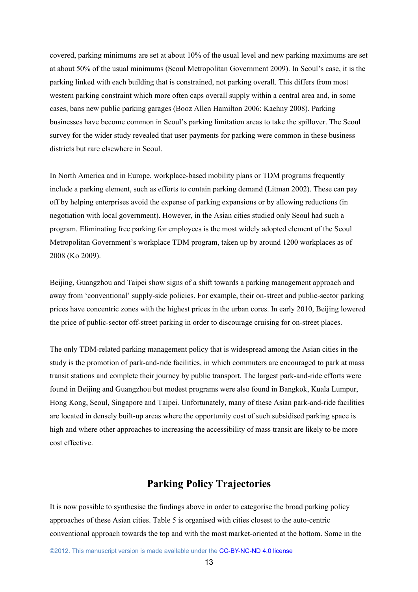covered, parking minimums are set at about 10% of the usual level and new parking maximums are set at about 50% of the usual minimums (Seoul Metropolitan Government 2009). In Seoul's case, it is the parking linked with each building that is constrained, not parking overall. This differs from most western parking constraint which more often caps overall supply within a central area and, in some cases, bans new public parking garages (Booz Allen Hamilton 2006; Kaehny 2008). Parking businesses have become common in Seoul's parking limitation areas to take the spillover. The Seoul survey for the wider study revealed that user payments for parking were common in these business districts but rare elsewhere in Seoul.

In North America and in Europe, workplace-based mobility plans or TDM programs frequently include a parking element, such as efforts to contain parking demand (Litman 2002). These can pay off by helping enterprises avoid the expense of parking expansions or by allowing reductions (in negotiation with local government). However, in the Asian cities studied only Seoul had such a program. Eliminating free parking for employees is the most widely adopted element of the Seoul Metropolitan Government's workplace TDM program, taken up by around 1200 workplaces as of 2008 (Ko 2009).

Beijing, Guangzhou and Taipei show signs of a shift towards a parking management approach and away from 'conventional' supply-side policies. For example, their on-street and public-sector parking prices have concentric zones with the highest prices in the urban cores. In early 2010, Beijing lowered the price of public-sector off-street parking in order to discourage cruising for on-street places.

The only TDM-related parking management policy that is widespread among the Asian cities in the study is the promotion of park-and-ride facilities, in which commuters are encouraged to park at mass transit stations and complete their journey by public transport. The largest park-and-ride efforts were found in Beijing and Guangzhou but modest programs were also found in Bangkok, Kuala Lumpur, Hong Kong, Seoul, Singapore and Taipei. Unfortunately, many of these Asian park-and-ride facilities are located in densely built-up areas where the opportunity cost of such subsidised parking space is high and where other approaches to increasing the accessibility of mass transit are likely to be more cost effective.

### **Parking Policy Trajectories**

It is now possible to synthesise the findings above in order to categorise the broad parking policy approaches of these Asian cities. Table 5 is organised with cities closest to the auto-centric conventional approach towards the top and with the most market-oriented at the bottom. Some in the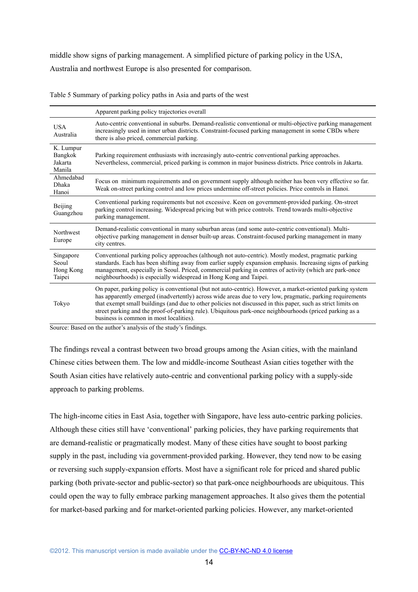middle show signs of parking management. A simplified picture of parking policy in the USA, Australia and northwest Europe is also presented for comparison.

|                                           | Apparent parking policy trajectories overall                                                                                                                                                                                                                                                                                                                                                                                                                                                  |
|-------------------------------------------|-----------------------------------------------------------------------------------------------------------------------------------------------------------------------------------------------------------------------------------------------------------------------------------------------------------------------------------------------------------------------------------------------------------------------------------------------------------------------------------------------|
| <b>USA</b><br>Australia                   | Auto-centric conventional in suburbs. Demand-realistic conventional or multi-objective parking management<br>increasingly used in inner urban districts. Constraint-focused parking management in some CBDs where<br>there is also priced, commercial parking.                                                                                                                                                                                                                                |
| K. Lumpur<br>Bangkok<br>Jakarta<br>Manila | Parking requirement enthusiasts with increasingly auto-centric conventional parking approaches.<br>Nevertheless, commercial, priced parking is common in major business districts. Price controls in Jakarta.                                                                                                                                                                                                                                                                                 |
| Ahmedabad<br><b>Dhaka</b><br>Hanoi        | Focus on minimum requirements and on government supply although neither has been very effective so far.<br>Weak on-street parking control and low prices undermine off-street policies. Price controls in Hanoi.                                                                                                                                                                                                                                                                              |
| Beijing<br>Guangzhou                      | Conventional parking requirements but not excessive. Keen on government-provided parking. On-street<br>parking control increasing. Widespread pricing but with price controls. Trend towards multi-objective<br>parking management.                                                                                                                                                                                                                                                           |
| Northwest<br>Europe                       | Demand-realistic conventional in many suburban areas (and some auto-centric conventional). Multi-<br>objective parking management in denser built-up areas. Constraint-focused parking management in many<br>city centres.                                                                                                                                                                                                                                                                    |
| Singapore<br>Seoul<br>Hong Kong<br>Taipei | Conventional parking policy approaches (although not auto-centric). Mostly modest, pragmatic parking<br>standards. Each has been shifting away from earlier supply expansion emphasis. Increasing signs of parking<br>management, especially in Seoul. Priced, commercial parking in centres of activity (which are park-once<br>neighbourhoods) is especially widespread in Hong Kong and Taipei.                                                                                            |
| Tokyo                                     | On paper, parking policy is conventional (but not auto-centric). However, a market-oriented parking system<br>has apparently emerged (inadvertently) across wide areas due to very low, pragmatic, parking requirements<br>that exempt small buildings (and due to other policies not discussed in this paper, such as strict limits on<br>street parking and the proof-of-parking rule). Ubiquitous park-once neighbourhoods (priced parking as a<br>business is common in most localities). |

Table 5 Summary of parking policy paths in Asia and parts of the west

Source: Based on the author's analysis of the study's findings.

The findings reveal a contrast between two broad groups among the Asian cities, with the mainland Chinese cities between them. The low and middle-income Southeast Asian cities together with the South Asian cities have relatively auto-centric and conventional parking policy with a supply-side approach to parking problems.

The high-income cities in East Asia, together with Singapore, have less auto-centric parking policies. Although these cities still have 'conventional' parking policies, they have parking requirements that are demand-realistic or pragmatically modest. Many of these cities have sought to boost parking supply in the past, including via government-provided parking. However, they tend now to be easing or reversing such supply-expansion efforts. Most have a significant role for priced and shared public parking (both private-sector and public-sector) so that park-once neighbourhoods are ubiquitous. This could open the way to fully embrace parking management approaches. It also gives them the potential for market-based parking and for market-oriented parking policies. However, any market-oriented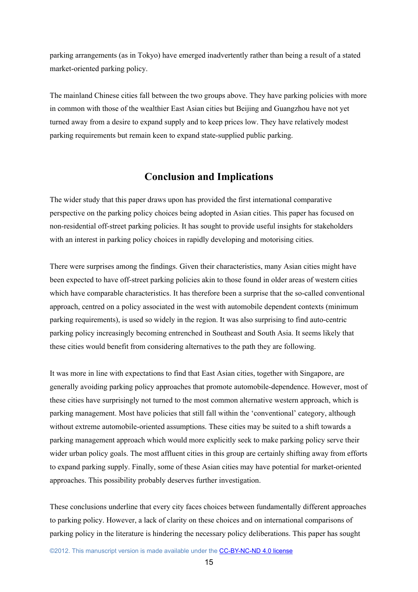parking arrangements (as in Tokyo) have emerged inadvertently rather than being a result of a stated market-oriented parking policy.

The mainland Chinese cities fall between the two groups above. They have parking policies with more in common with those of the wealthier East Asian cities but Beijing and Guangzhou have not yet turned away from a desire to expand supply and to keep prices low. They have relatively modest parking requirements but remain keen to expand state-supplied public parking.

### **Conclusion and Implications**

The wider study that this paper draws upon has provided the first international comparative perspective on the parking policy choices being adopted in Asian cities. This paper has focused on non-residential off-street parking policies. It has sought to provide useful insights for stakeholders with an interest in parking policy choices in rapidly developing and motorising cities.

There were surprises among the findings. Given their characteristics, many Asian cities might have been expected to have off-street parking policies akin to those found in older areas of western cities which have comparable characteristics. It has therefore been a surprise that the so-called conventional approach, centred on a policy associated in the west with automobile dependent contexts (minimum parking requirements), is used so widely in the region. It was also surprising to find auto-centric parking policy increasingly becoming entrenched in Southeast and South Asia. It seems likely that these cities would benefit from considering alternatives to the path they are following.

It was more in line with expectations to find that East Asian cities, together with Singapore, are generally avoiding parking policy approaches that promote automobile-dependence. However, most of these cities have surprisingly not turned to the most common alternative western approach, which is parking management. Most have policies that still fall within the 'conventional' category, although without extreme automobile-oriented assumptions. These cities may be suited to a shift towards a parking management approach which would more explicitly seek to make parking policy serve their wider urban policy goals. The most affluent cities in this group are certainly shifting away from efforts to expand parking supply. Finally, some of these Asian cities may have potential for market-oriented approaches. This possibility probably deserves further investigation.

These conclusions underline that every city faces choices between fundamentally different approaches to parking policy. However, a lack of clarity on these choices and on international comparisons of parking policy in the literature is hindering the necessary policy deliberations. This paper has sought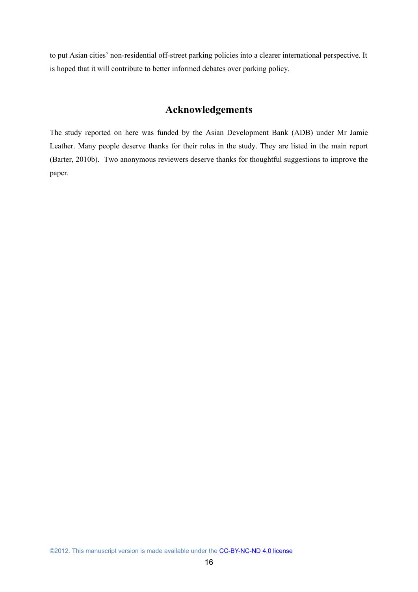to put Asian cities' non-residential off-street parking policies into a clearer international perspective. It is hoped that it will contribute to better informed debates over parking policy.

## **Acknowledgements**

The study reported on here was funded by the Asian Development Bank (ADB) under Mr Jamie Leather. Many people deserve thanks for their roles in the study. They are listed in the main report (Barter, 2010b). Two anonymous reviewers deserve thanks for thoughtful suggestions to improve the paper.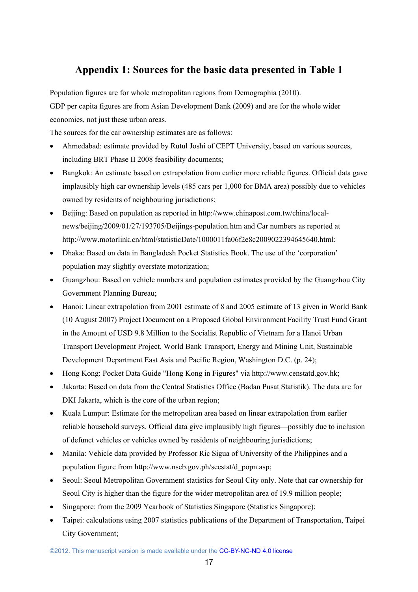# **Appendix 1: Sources for the basic data presented in Table 1**

Population figures are for whole metropolitan regions from Demographia (2010). GDP per capita figures are from Asian Development Bank (2009) and are for the whole wider economies, not just these urban areas.

The sources for the car ownership estimates are as follows:

- Ahmedabad: estimate provided by Rutul Joshi of CEPT University, based on various sources, including BRT Phase II 2008 feasibility documents;
- Bangkok: An estimate based on extrapolation from earlier more reliable figures. Official data gave implausibly high car ownership levels (485 cars per 1,000 for BMA area) possibly due to vehicles owned by residents of neighbouring jurisdictions;
- Beijing: Based on population as reported in http://www.chinapost.com.tw/china/localnews/beijing/2009/01/27/193705/Beijings-population.htm and Car numbers as reported at http://www.motorlink.cn/html/statisticDate/1000011fa06f2e8c2009022394645640.html;
- Dhaka: Based on data in Bangladesh Pocket Statistics Book. The use of the 'corporation' population may slightly overstate motorization;
- Guangzhou: Based on vehicle numbers and population estimates provided by the Guangzhou City Government Planning Bureau;
- Hanoi: Linear extrapolation from 2001 estimate of 8 and 2005 estimate of 13 given in World Bank (10 August 2007) Project Document on a Proposed Global Environment Facility Trust Fund Grant in the Amount of USD 9.8 Million to the Socialist Republic of Vietnam for a Hanoi Urban Transport Development Project. World Bank Transport, Energy and Mining Unit, Sustainable Development Department East Asia and Pacific Region, Washington D.C. (p. 24);
- Hong Kong: Pocket Data Guide "Hong Kong in Figures" via http://www.censtatd.gov.hk;
- Jakarta: Based on data from the Central Statistics Office (Badan Pusat Statistik). The data are for DKI Jakarta, which is the core of the urban region;
- Kuala Lumpur: Estimate for the metropolitan area based on linear extrapolation from earlier reliable household surveys. Official data give implausibly high figures—possibly due to inclusion of defunct vehicles or vehicles owned by residents of neighbouring jurisdictions;
- Manila: Vehicle data provided by Professor Ric Sigua of University of the Philippines and a population figure from http://www.nscb.gov.ph/secstat/d\_popn.asp;
- Seoul: Seoul Metropolitan Government statistics for Seoul City only. Note that car ownership for Seoul City is higher than the figure for the wider metropolitan area of 19.9 million people;
- Singapore: from the 2009 Yearbook of Statistics Singapore (Statistics Singapore);
- Taipei: calculations using 2007 statistics publications of the Department of Transportation, Taipei City Government;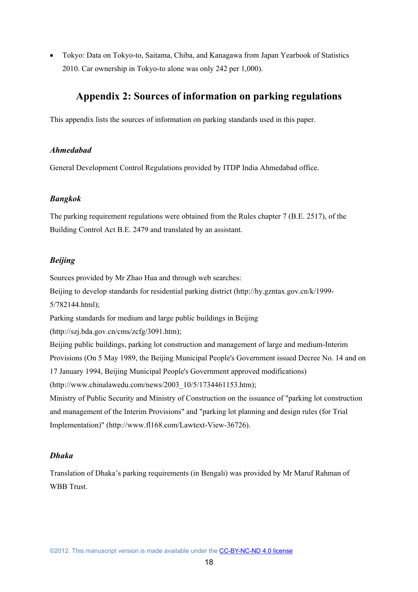Tokyo: Data on Tokyo-to, Saitama, Chiba, and Kanagawa from Japan Yearbook of Statistics 2010. Car ownership in Tokyo-to alone was only 242 per 1,000).

## **Appendix 2: Sources of information on parking regulations**

This appendix lists the sources of information on parking standards used in this paper.

### *Ahmedabad*

General Development Control Regulations provided by ITDP India Ahmedabad office.

### *Bangkok*

The parking requirement regulations were obtained from the Rules chapter 7 (B.E. 2517), of the Building Control Act B.E. 2479 and translated by an assistant.

### *Beijing*

Sources provided by Mr Zhao Hua and through web searches:

Beijing to develop standards for residential parking district (http://hy.gzntax.gov.cn/k/1999-

5/782144.html);

Parking standards for medium and large public buildings in Beijing

(http://szj.bda.gov.cn/cms/zcfg/3091.htm);

Beijing public buildings, parking lot construction and management of large and medium-Interim Provisions (On 5 May 1989, the Beijing Municipal People's Government issued Decree No. 14 and on 17 January 1994, Beijing Municipal People's Government approved modifications) (http://www.chinalawedu.com/news/2003\_10/5/1734461153.htm); Ministry of Public Security and Ministry of Construction on the issuance of "parking lot construction

and management of the Interim Provisions" and "parking lot planning and design rules (for Trial Implementation)" (http://www.fl168.com/Lawtext-View-36726).

### *Dhaka*

Translation of Dhaka's parking requirements (in Bengali) was provided by Mr Maruf Rahman of WBB Trust.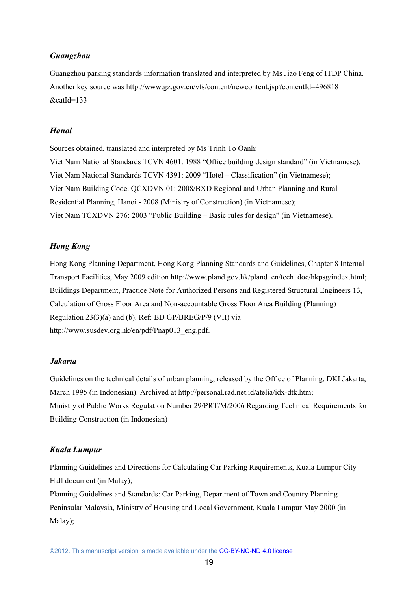### *Guangzhou*

Guangzhou parking standards information translated and interpreted by Ms Jiao Feng of ITDP China. Another key source was http://www.gz.gov.cn/vfs/content/newcontent.jsp?contentId=496818 &catId=133

#### *Hanoi*

Sources obtained, translated and interpreted by Ms Trinh To Oanh: Viet Nam National Standards TCVN 4601: 1988 "Office building design standard" (in Vietnamese); Viet Nam National Standards TCVN 4391: 2009 "Hotel – Classification" (in Vietnamese); Viet Nam Building Code. QCXDVN 01: 2008/BXD Regional and Urban Planning and Rural Residential Planning, Hanoi - 2008 (Ministry of Construction) (in Vietnamese); Viet Nam TCXDVN 276: 2003 "Public Building – Basic rules for design" (in Vietnamese).

### *Hong Kong*

Hong Kong Planning Department, Hong Kong Planning Standards and Guidelines, Chapter 8 Internal Transport Facilities, May 2009 edition http://www.pland.gov.hk/pland\_en/tech\_doc/hkpsg/index.html; Buildings Department, Practice Note for Authorized Persons and Registered Structural Engineers 13, Calculation of Gross Floor Area and Non-accountable Gross Floor Area Building (Planning) Regulation 23(3)(a) and (b). Ref: BD GP/BREG/P/9 (VII) via http://www.susdev.org.hk/en/pdf/Pnap013\_eng.pdf.

#### *Jakarta*

Guidelines on the technical details of urban planning, released by the Office of Planning, DKI Jakarta, March 1995 (in Indonesian). Archived at http://personal.rad.net.id/atelia/idx-dtk.htm; Ministry of Public Works Regulation Number 29/PRT/M/2006 Regarding Technical Requirements for Building Construction (in Indonesian)

#### *Kuala Lumpur*

Planning Guidelines and Directions for Calculating Car Parking Requirements, Kuala Lumpur City Hall document (in Malay);

Planning Guidelines and Standards: Car Parking, Department of Town and Country Planning Peninsular Malaysia, Ministry of Housing and Local Government, Kuala Lumpur May 2000 (in Malay);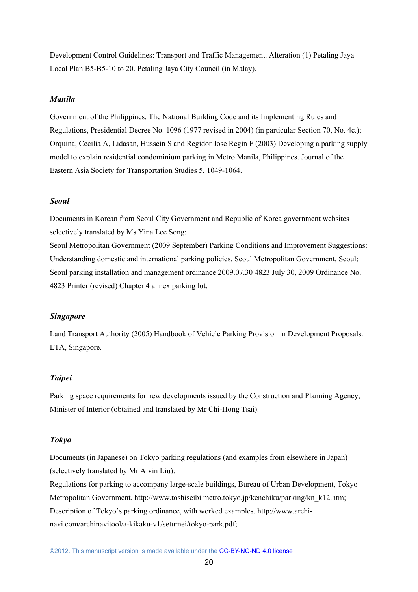Development Control Guidelines: Transport and Traffic Management. Alteration (1) Petaling Jaya Local Plan B5-B5-10 to 20. Petaling Jaya City Council (in Malay).

### *Manila*

Government of the Philippines. The National Building Code and its Implementing Rules and Regulations, Presidential Decree No. 1096 (1977 revised in 2004) (in particular Section 70, No. 4c.); Orquina, Cecilia A, Lidasan, Hussein S and Regidor Jose Regin F (2003) Developing a parking supply model to explain residential condominium parking in Metro Manila, Philippines. Journal of the Eastern Asia Society for Transportation Studies 5, 1049-1064.

#### *Seoul*

Documents in Korean from Seoul City Government and Republic of Korea government websites selectively translated by Ms Yina Lee Song:

Seoul Metropolitan Government (2009 September) Parking Conditions and Improvement Suggestions: Understanding domestic and international parking policies. Seoul Metropolitan Government, Seoul; Seoul parking installation and management ordinance 2009.07.30 4823 July 30, 2009 Ordinance No. 4823 Printer (revised) Chapter 4 annex parking lot.

#### *Singapore*

Land Transport Authority (2005) Handbook of Vehicle Parking Provision in Development Proposals. LTA, Singapore.

#### *Taipei*

Parking space requirements for new developments issued by the Construction and Planning Agency, Minister of Interior (obtained and translated by Mr Chi-Hong Tsai).

#### *Tokyo*

Documents (in Japanese) on Tokyo parking regulations (and examples from elsewhere in Japan) (selectively translated by Mr Alvin Liu):

Regulations for parking to accompany large-scale buildings, Bureau of Urban Development, Tokyo Metropolitan Government, http://www.toshiseibi.metro.tokyo.jp/kenchiku/parking/kn\_k12.htm; Description of Tokyo's parking ordinance, with worked examples. http://www.archinavi.com/archinavitool/a-kikaku-v1/setumei/tokyo-park.pdf;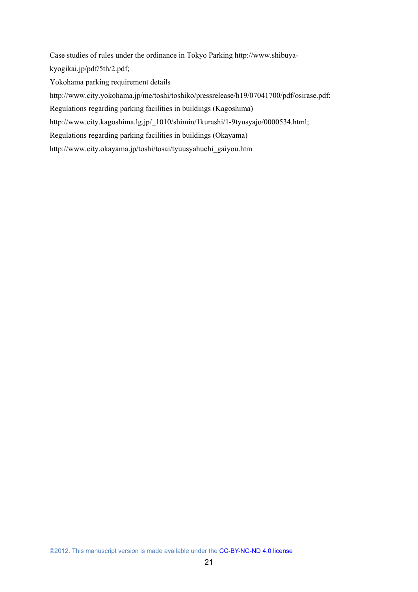Case studies of rules under the ordinance in Tokyo Parking http://www.shibuyakyogikai.jp/pdf/5th/2.pdf; Yokohama parking requirement details http://www.city.yokohama.jp/me/toshi/toshiko/pressrelease/h19/07041700/pdf/osirase.pdf; Regulations regarding parking facilities in buildings (Kagoshima) http://www.city.kagoshima.lg.jp/\_1010/shimin/1kurashi/1-9tyusyajo/0000534.html; Regulations regarding parking facilities in buildings (Okayama) http://www.city.okayama.jp/toshi/tosai/tyuusyahuchi\_gaiyou.htm

©2012. This manuscript version is made available under the [CC-BY-NC-ND](http://creativecommons.org/licenses/by-nc-nd/4.0/) 4.0 license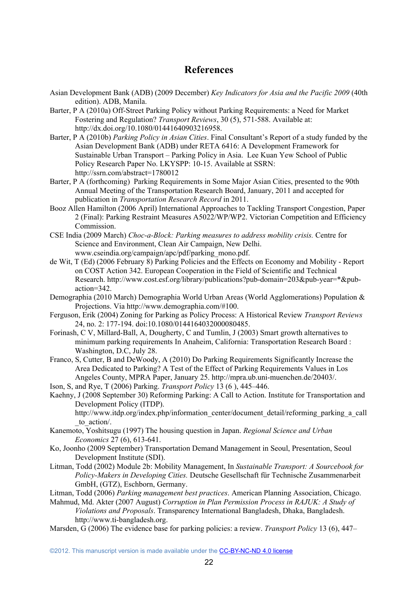## **References**

- Asian Development Bank (ADB) (2009 December) *Key Indicators for Asia and the Pacific 2009* (40th edition). ADB, Manila.
- Barter, P A (2010a) Off-Street Parking Policy without Parking Requirements: a Need for Market Fostering and Regulation? *Transport Reviews*, 30 (5), 571-588. Available at: http://dx.doi.org/10.1080/01441640903216958.
- Barter, P A (2010b) *Parking Policy in Asian Cities*. Final Consultant's Report of a study funded by the Asian Development Bank (ADB) under RETA 6416: A Development Framework for Sustainable Urban Transport – Parking Policy in Asia. Lee Kuan Yew School of Public Policy Research Paper No. LKYSPP: 10-15. Available at SSRN: http://ssrn.com/abstract=1780012
- Barter, P A (forthcoming) Parking Requirements in Some Major Asian Cities, presented to the 90th Annual Meeting of the Transportation Research Board, January, 2011 and accepted for publication in *Transportation Research Record* in 2011.
- Booz Allen Hamilton (2006 April) International Approaches to Tackling Transport Congestion, Paper 2 (Final): Parking Restraint Measures A5022/WP/WP2. Victorian Competition and Efficiency Commission.
- CSE India (2009 March) *Choc-a-Block: Parking measures to address mobility crisis.* Centre for Science and Environment, Clean Air Campaign, New Delhi. www.cseindia.org/campaign/apc/pdf/parking\_mono.pdf.
- de Wit, T (Ed) (2006 February 8) Parking Policies and the Effects on Economy and Mobility Report on COST Action 342. European Cooperation in the Field of Scientific and Technical Research. http://www.cost.esf.org/library/publications?pub-domain=203&pub-year=\*&pubaction=342.
- Demographia (2010 March) Demographia World Urban Areas (World Agglomerations) Population & Projections. Via http://www.demographia.com/#100.
- Ferguson, Erik (2004) Zoning for Parking as Policy Process: A Historical Review *Transport Reviews* 24, no. 2: 177-194. doi:10.1080/0144164032000080485.
- Forinash, C V, Millard-Ball, A, Dougherty, C and Tumlin, J (2003) Smart growth alternatives to minimum parking requirements In Anaheim, California: Transportation Research Board : Washington, D.C, July 28.
- Franco, S, Cutter, B and DeWoody, A (2010) Do Parking Requirements Significantly Increase the Area Dedicated to Parking? A Test of the Effect of Parking Requirements Values in Los Angeles County, MPRA Paper, January 25. http://mpra.ub.uni-muenchen.de/20403/.

Ison, S, and Rye, T (2006) Parking. *Transport Policy* 13 (6 ), 445–446.

Kaehny, J (2008 September 30) Reforming Parking: A Call to Action. Institute for Transportation and Development Policy (ITDP).

http://www.itdp.org/index.php/information\_center/document\_detail/reforming\_parking\_a\_call to action.

- Kanemoto, Yoshitsugu (1997) The housing question in Japan. *Regional Science and Urban Economics* 27 (6), 613-641.
- Ko, Joonho (2009 September) Transportation Demand Management in Seoul, Presentation, Seoul Development Institute (SDI).
- Litman, Todd (2002) Module 2b: Mobility Management, In *Sustainable Transport: A Sourcebook for Policy-Makers in Developing Cities.* Deutsche Gesellschaft für Technische Zusammenarbeit GmbH, (GTZ), Eschborn, Germany.

Litman, Todd (2006) *Parking management best practices*. American Planning Association, Chicago.

- Mahmud, Md. Akter (2007 August) *Corruption in Plan Permission Process in RAJUK: A Study of Violations and Proposals*. Transparency International Bangladesh, Dhaka, Bangladesh. http://www.ti-bangladesh.org.
- Marsden, G (2006) The evidence base for parking policies: a review. *Transport Policy* 13 (6), 447–